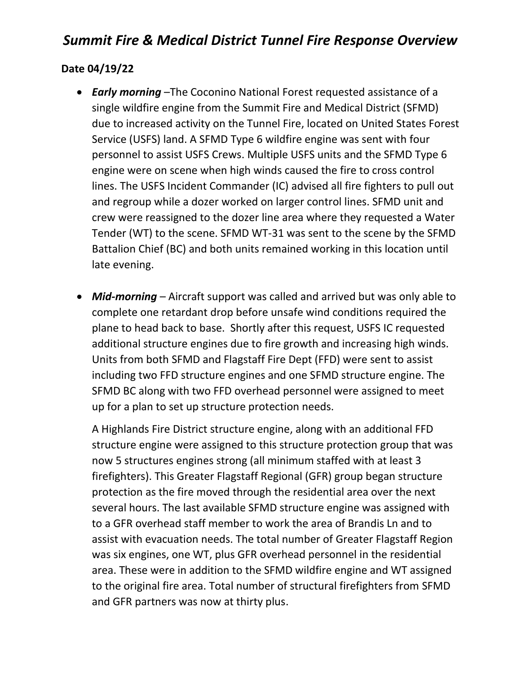# *Summit Fire & Medical District Tunnel Fire Response Overview*

### **Date 04/19/22**

- *Early morning* –The Coconino National Forest requested assistance of a single wildfire engine from the Summit Fire and Medical District (SFMD) due to increased activity on the Tunnel Fire, located on United States Forest Service (USFS) land. A SFMD Type 6 wildfire engine was sent with four personnel to assist USFS Crews. Multiple USFS units and the SFMD Type 6 engine were on scene when high winds caused the fire to cross control lines. The USFS Incident Commander (IC) advised all fire fighters to pull out and regroup while a dozer worked on larger control lines. SFMD unit and crew were reassigned to the dozer line area where they requested a Water Tender (WT) to the scene. SFMD WT-31 was sent to the scene by the SFMD Battalion Chief (BC) and both units remained working in this location until late evening.
- *Mid-morning* Aircraft support was called and arrived but was only able to complete one retardant drop before unsafe wind conditions required the plane to head back to base. Shortly after this request, USFS IC requested additional structure engines due to fire growth and increasing high winds. Units from both SFMD and Flagstaff Fire Dept (FFD) were sent to assist including two FFD structure engines and one SFMD structure engine. The SFMD BC along with two FFD overhead personnel were assigned to meet up for a plan to set up structure protection needs.

A Highlands Fire District structure engine, along with an additional FFD structure engine were assigned to this structure protection group that was now 5 structures engines strong (all minimum staffed with at least 3 firefighters). This Greater Flagstaff Regional (GFR) group began structure protection as the fire moved through the residential area over the next several hours. The last available SFMD structure engine was assigned with to a GFR overhead staff member to work the area of Brandis Ln and to assist with evacuation needs. The total number of Greater Flagstaff Region was six engines, one WT, plus GFR overhead personnel in the residential area. These were in addition to the SFMD wildfire engine and WT assigned to the original fire area. Total number of structural firefighters from SFMD and GFR partners was now at thirty plus.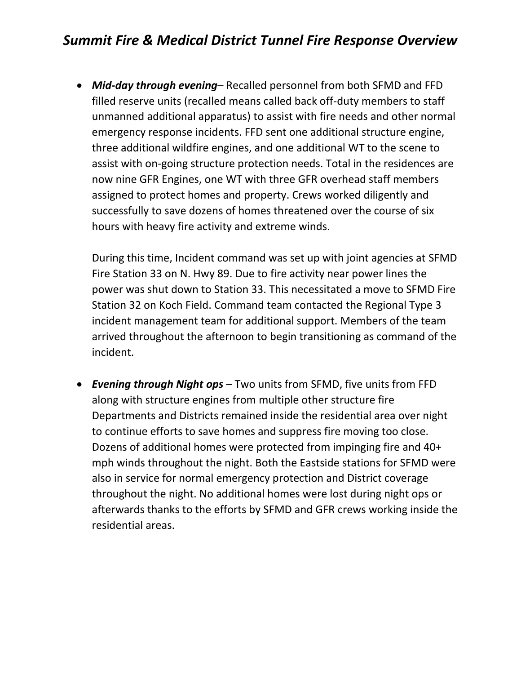## *Summit Fire & Medical District Tunnel Fire Response Overview*

• *Mid-day through evening*– Recalled personnel from both SFMD and FFD filled reserve units (recalled means called back off-duty members to staff unmanned additional apparatus) to assist with fire needs and other normal emergency response incidents. FFD sent one additional structure engine, three additional wildfire engines, and one additional WT to the scene to assist with on-going structure protection needs. Total in the residences are now nine GFR Engines, one WT with three GFR overhead staff members assigned to protect homes and property. Crews worked diligently and successfully to save dozens of homes threatened over the course of six hours with heavy fire activity and extreme winds.

During this time, Incident command was set up with joint agencies at SFMD Fire Station 33 on N. Hwy 89. Due to fire activity near power lines the power was shut down to Station 33. This necessitated a move to SFMD Fire Station 32 on Koch Field. Command team contacted the Regional Type 3 incident management team for additional support. Members of the team arrived throughout the afternoon to begin transitioning as command of the incident.

• *Evening through Night ops* – Two units from SFMD, five units from FFD along with structure engines from multiple other structure fire Departments and Districts remained inside the residential area over night to continue efforts to save homes and suppress fire moving too close. Dozens of additional homes were protected from impinging fire and 40+ mph winds throughout the night. Both the Eastside stations for SFMD were also in service for normal emergency protection and District coverage throughout the night. No additional homes were lost during night ops or afterwards thanks to the efforts by SFMD and GFR crews working inside the residential areas.